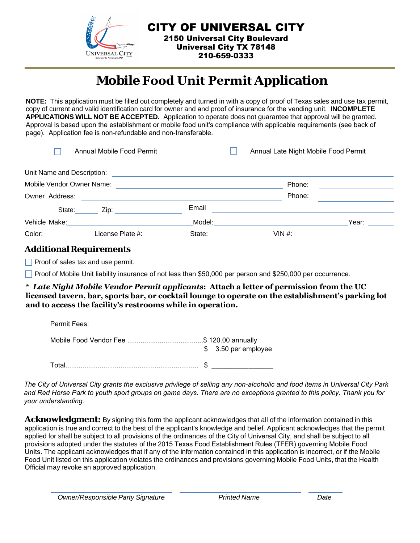

CITY OF UNIVERSAL CITY 2150 Universal City Boulevard Universal City TX 78148 210-659-0333

## **Mobile Food Unit Permit Application**

**NOTE:** This application must be filled out completely and turned in with a copy of proof of Texas sales and use tax permit, copy of current and valid identification card for owner and and proof of insurance for the vending unit. **INCOMPLETE APPLICATIONS WILL NOT BE ACCEPTED.** Application to operate does not guarantee that approval will be granted. Approval is based upon the establishment or mobile food unit's compliance with applicable requirements (see back of page). Application fee is non-refundable and non-transferable.

| Annual Mobile Food Permit  |                     |        | Annual Late Night Mobile Food Permit |       |  |
|----------------------------|---------------------|--------|--------------------------------------|-------|--|
| Unit Name and Description: |                     |        |                                      |       |  |
| Mobile Vendor Owner Name:  |                     |        | Phone:                               |       |  |
| Owner Address:             |                     |        | Phone:                               |       |  |
| State:                     | Zip: ______________ | Email  |                                      |       |  |
| Vehicle Make:              |                     | Model: |                                      | Year: |  |
| Color:                     | License Plate #:    | State: | VIN #:                               |       |  |

## **AdditionalRequirements**

 $\Box$  Proof of sales tax and use permit.

**Proof of Mobile Unit liability insurance of not less than \$50,000 per person and \$250,000 per occurrence.** 

**\*** *Late Night Mobile Vendor Permit applicants***: Attach a letter of permission from the UC licensed tavern, bar, sports bar, or cocktail lounge to operate on the establishment's parking lot and to access the facility's restrooms while in operation.** 

| Permit Fees: |                      |
|--------------|----------------------|
|              | $$3.50$ per employee |
| Total        |                      |

*The City of Universal City grants the exclusive privilege of selling any non-alcoholic and food items in Universal City Park and Red Horse Park to youth sport groups on game days. There are no exceptions granted to this policy. Thank you for your understanding.* 

**Acknowledgment:** By signing this form the applicant acknowledges that all of the information contained in this application is true and correct to the best of the applicant's knowledge and belief. Applicant acknowledges that the permit applied for shall be subject to all provisions of the ordinances of the City of Universal City, and shall be subject to all provisions adopted under the statutes of the 2015 Texas Food Establishment Rules (TFER) governing Mobile Food Units. The applicant acknowledges that if any of the information contained in this application is incorrect, or if the Mobile Food Unit listed on this application violates the ordinances and provisions governing Mobile Food Units, that the Health Official may revoke an approved application.